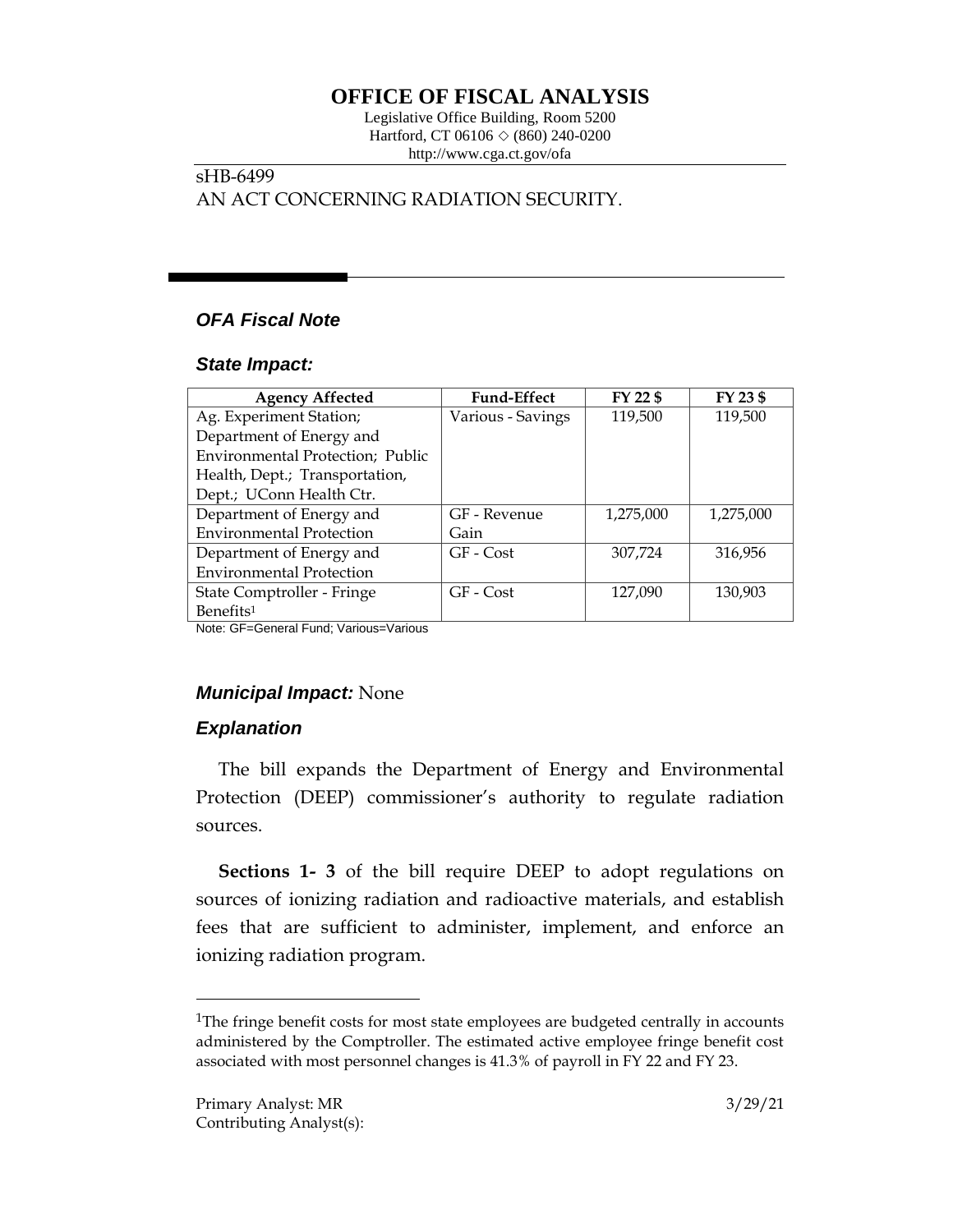# **OFFICE OF FISCAL ANALYSIS**

Legislative Office Building, Room 5200 Hartford, CT 06106  $\Diamond$  (860) 240-0200 http://www.cga.ct.gov/ofa

## sHB-6499 AN ACT CONCERNING RADIATION SECURITY.

## *OFA Fiscal Note*

### *State Impact:*

| <b>Agency Affected</b>           | <b>Fund-Effect</b> | FY 22 \$  | FY 23 \$  |
|----------------------------------|--------------------|-----------|-----------|
| Ag. Experiment Station;          | Various - Savings  | 119,500   | 119,500   |
| Department of Energy and         |                    |           |           |
| Environmental Protection; Public |                    |           |           |
| Health, Dept.; Transportation,   |                    |           |           |
| Dept.; UConn Health Ctr.         |                    |           |           |
| Department of Energy and         | GF - Revenue       | 1,275,000 | 1,275,000 |
| <b>Environmental Protection</b>  | Gain               |           |           |
| Department of Energy and         | GF - Cost          | 307,724   | 316,956   |
| <b>Environmental Protection</b>  |                    |           |           |
| State Comptroller - Fringe       | GF - Cost          | 127,090   | 130,903   |
| Benefits <sup>1</sup>            |                    |           |           |

Note: GF=General Fund; Various=Various

### *Municipal Impact:* None

### *Explanation*

The bill expands the Department of Energy and Environmental Protection (DEEP) commissioner's authority to regulate radiation sources.

**Sections 1- 3** of the bill require DEEP to adopt regulations on sources of ionizing radiation and radioactive materials, and establish fees that are sufficient to administer, implement, and enforce an ionizing radiation program.

 $\overline{a}$ 

<sup>&</sup>lt;sup>1</sup>The fringe benefit costs for most state employees are budgeted centrally in accounts administered by the Comptroller. The estimated active employee fringe benefit cost associated with most personnel changes is 41.3% of payroll in FY 22 and FY 23.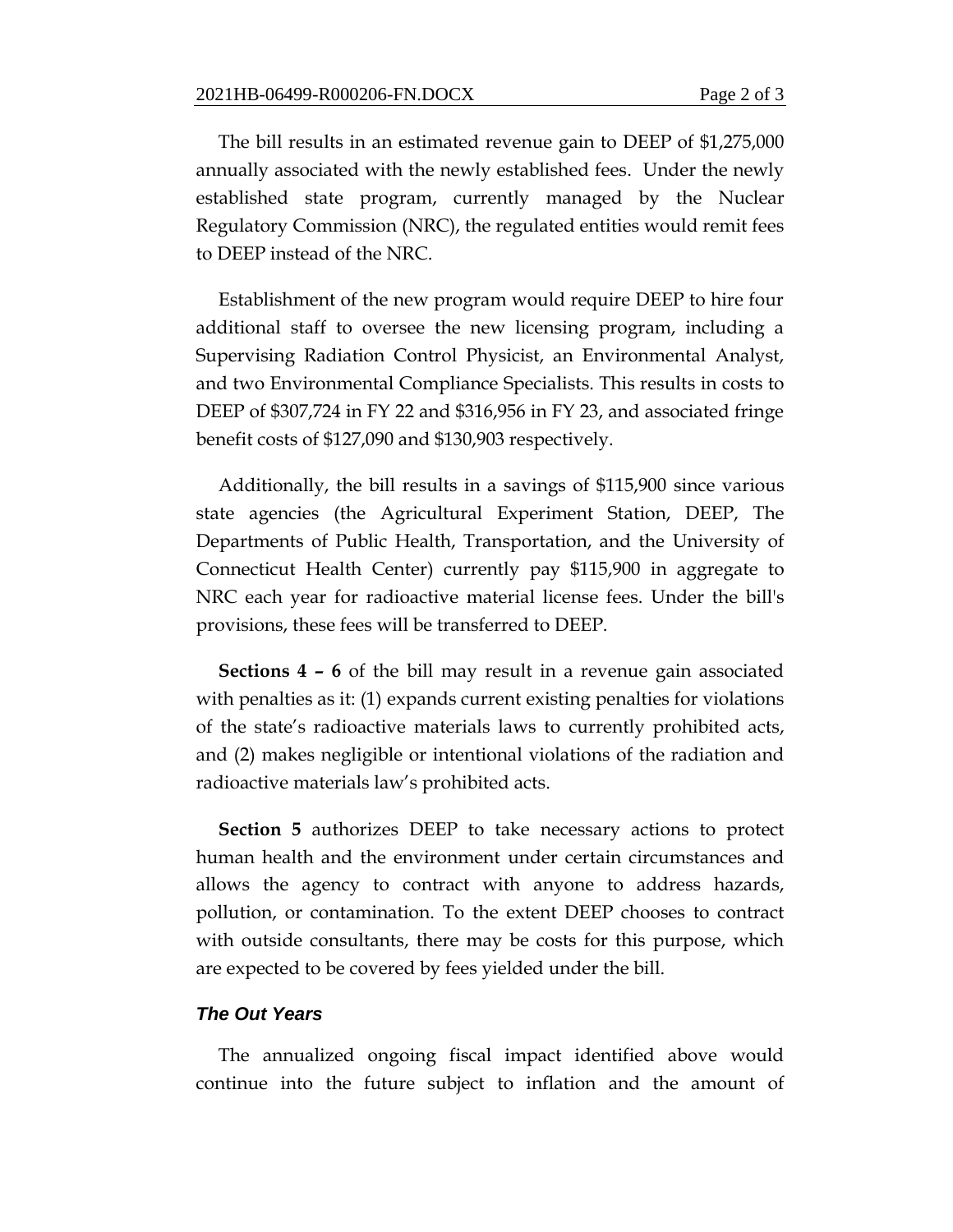The bill results in an estimated revenue gain to DEEP of \$1,275,000 annually associated with the newly established fees. Under the newly established state program, currently managed by the Nuclear Regulatory Commission (NRC), the regulated entities would remit fees to DEEP instead of the NRC.

Establishment of the new program would require DEEP to hire four additional staff to oversee the new licensing program, including a Supervising Radiation Control Physicist, an Environmental Analyst, and two Environmental Compliance Specialists. This results in costs to DEEP of \$307,724 in FY 22 and \$316,956 in FY 23, and associated fringe benefit costs of \$127,090 and \$130,903 respectively.

Additionally, the bill results in a savings of \$115,900 since various state agencies (the Agricultural Experiment Station, DEEP, The Departments of Public Health, Transportation, and the University of Connecticut Health Center) currently pay \$115,900 in aggregate to NRC each year for radioactive material license fees. Under the bill's provisions, these fees will be transferred to DEEP.

**Sections 4 – 6** of the bill may result in a revenue gain associated with penalties as it: (1) expands current existing penalties for violations of the state's radioactive materials laws to currently prohibited acts, and (2) makes negligible or intentional violations of the radiation and radioactive materials law's prohibited acts.

**Section 5** authorizes DEEP to take necessary actions to protect human health and the environment under certain circumstances and allows the agency to contract with anyone to address hazards, pollution, or contamination. To the extent DEEP chooses to contract with outside consultants, there may be costs for this purpose, which are expected to be covered by fees yielded under the bill.

#### *The Out Years*

The annualized ongoing fiscal impact identified above would continue into the future subject to inflation and the amount of